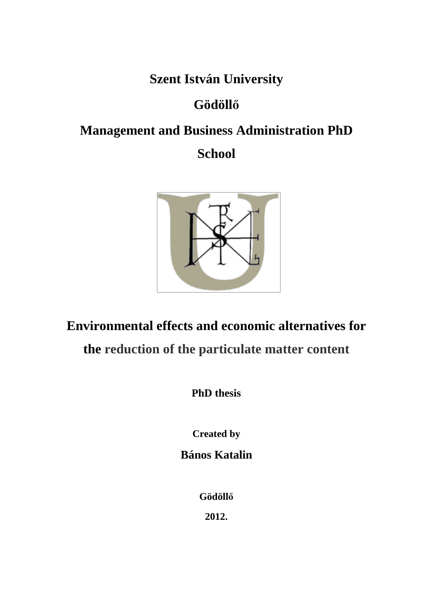**Szent István University** 

## **Gödöll**ő

# **Management and Business Administration PhD**

## **School**



## **Environmental effects and economic alternatives for**

## **the reduction of the particulate matter content**

**PhD thesis** 

**Created by** 

**Bános Katalin** 

**Gödöll**ő

**2012.**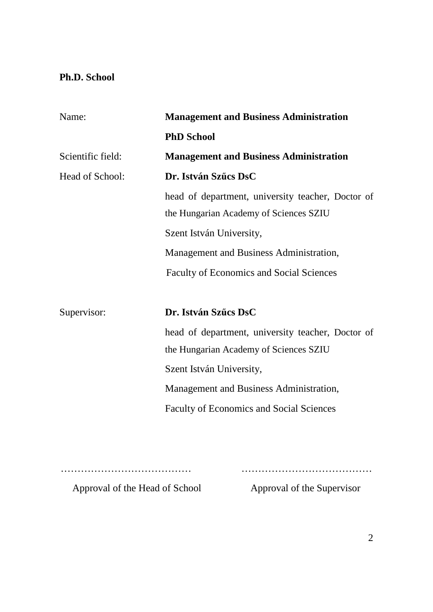### **Ph.D. School**

| Name:             | <b>Management and Business Administration</b>                                               |  |  |  |  |
|-------------------|---------------------------------------------------------------------------------------------|--|--|--|--|
|                   | <b>PhD School</b>                                                                           |  |  |  |  |
| Scientific field: | <b>Management and Business Administration</b>                                               |  |  |  |  |
| Head of School:   | Dr. István Szűcs DsC                                                                        |  |  |  |  |
|                   | head of department, university teacher, Doctor of<br>the Hungarian Academy of Sciences SZIU |  |  |  |  |
|                   | Szent István University,                                                                    |  |  |  |  |
|                   | Management and Business Administration,                                                     |  |  |  |  |
|                   | <b>Faculty of Economics and Social Sciences</b>                                             |  |  |  |  |
|                   |                                                                                             |  |  |  |  |
| Supervisor:       | Dr. István Szűcs DsC                                                                        |  |  |  |  |
|                   | head of department, university teacher, Doctor of                                           |  |  |  |  |
|                   | the Hungarian Academy of Sciences SZIU                                                      |  |  |  |  |
|                   | Szent István University,                                                                    |  |  |  |  |
|                   | Management and Business Administration,                                                     |  |  |  |  |
|                   | <b>Faculty of Economics and Social Sciences</b>                                             |  |  |  |  |
|                   |                                                                                             |  |  |  |  |
|                   |                                                                                             |  |  |  |  |

………………………………… …………………………………

Approval of the Head of School Approval of the Supervisor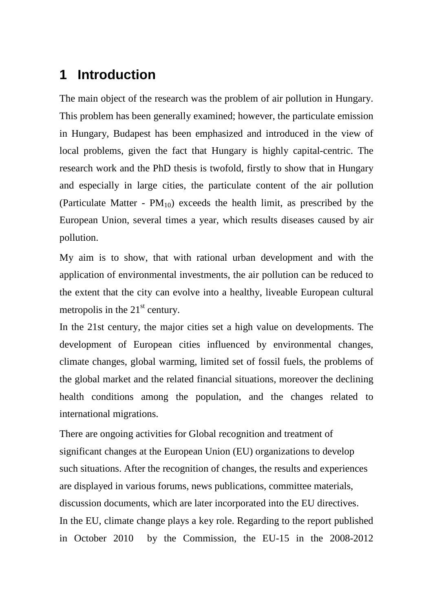## **1 Introduction**

The main object of the research was the problem of air pollution in Hungary. This problem has been generally examined; however, the particulate emission in Hungary, Budapest has been emphasized and introduced in the view of local problems, given the fact that Hungary is highly capital-centric. The research work and the PhD thesis is twofold, firstly to show that in Hungary and especially in large cities, the particulate content of the air pollution (Particulate Matter -  $PM_{10}$ ) exceeds the health limit, as prescribed by the European Union, several times a year, which results diseases caused by air pollution.

My aim is to show, that with rational urban development and with the application of environmental investments, the air pollution can be reduced to the extent that the city can evolve into a healthy, liveable European cultural metropolis in the  $21<sup>st</sup>$  century.

In the 21st century, the major cities set a high value on developments. The development of European cities influenced by environmental changes, climate changes, global warming, limited set of fossil fuels, the problems of the global market and the related financial situations, moreover the declining health conditions among the population, and the changes related to international migrations.

There are ongoing activities for Global recognition and treatment of significant changes at the European Union (EU) organizations to develop such situations. After the recognition of changes, the results and experiences are displayed in various forums, news publications, committee materials, discussion documents, which are later incorporated into the EU directives. In the EU, climate change plays a key role. Regarding to the report published in October 2010 by the Commission, the EU-15 in the 2008-2012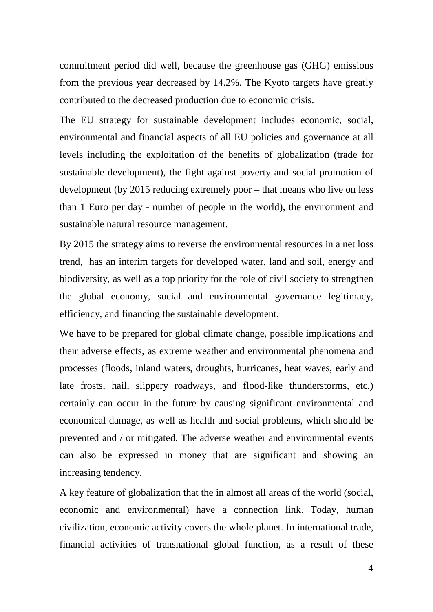commitment period did well, because the greenhouse gas (GHG) emissions from the previous year decreased by 14.2%. The Kyoto targets have greatly contributed to the decreased production due to economic crisis.

The EU strategy for sustainable development includes economic, social, environmental and financial aspects of all EU policies and governance at all levels including the exploitation of the benefits of globalization (trade for sustainable development), the fight against poverty and social promotion of development (by 2015 reducing extremely poor – that means who live on less than 1 Euro per day - number of people in the world), the environment and sustainable natural resource management.

By 2015 the strategy aims to reverse the environmental resources in a net loss trend, has an interim targets for developed water, land and soil, energy and biodiversity, as well as a top priority for the role of civil society to strengthen the global economy, social and environmental governance legitimacy, efficiency, and financing the sustainable development.

We have to be prepared for global climate change, possible implications and their adverse effects, as extreme weather and environmental phenomena and processes (floods, inland waters, droughts, hurricanes, heat waves, early and late frosts, hail, slippery roadways, and flood-like thunderstorms, etc.) certainly can occur in the future by causing significant environmental and economical damage, as well as health and social problems, which should be prevented and / or mitigated. The adverse weather and environmental events can also be expressed in money that are significant and showing an increasing tendency.

A key feature of globalization that the in almost all areas of the world (social, economic and environmental) have a connection link. Today, human civilization, economic activity covers the whole planet. In international trade, financial activities of transnational global function, as a result of these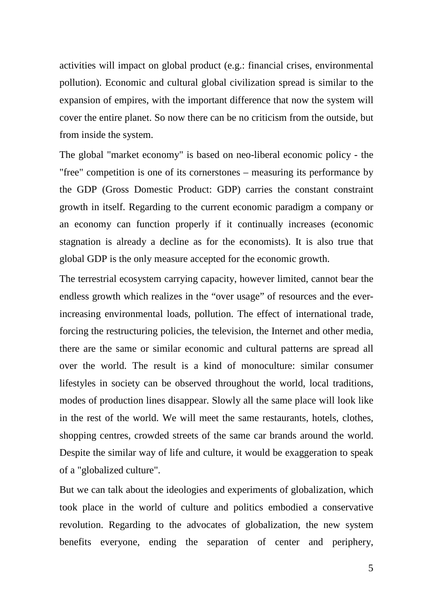activities will impact on global product (e.g.: financial crises, environmental pollution). Economic and cultural global civilization spread is similar to the expansion of empires, with the important difference that now the system will cover the entire planet. So now there can be no criticism from the outside, but from inside the system.

The global "market economy" is based on neo-liberal economic policy - the "free" competition is one of its cornerstones – measuring its performance by the GDP (Gross Domestic Product: GDP) carries the constant constraint growth in itself. Regarding to the current economic paradigm a company or an economy can function properly if it continually increases (economic stagnation is already a decline as for the economists). It is also true that global GDP is the only measure accepted for the economic growth.

The terrestrial ecosystem carrying capacity, however limited, cannot bear the endless growth which realizes in the "over usage" of resources and the everincreasing environmental loads, pollution. The effect of international trade, forcing the restructuring policies, the television, the Internet and other media, there are the same or similar economic and cultural patterns are spread all over the world. The result is a kind of monoculture: similar consumer lifestyles in society can be observed throughout the world, local traditions, modes of production lines disappear. Slowly all the same place will look like in the rest of the world. We will meet the same restaurants, hotels, clothes, shopping centres, crowded streets of the same car brands around the world. Despite the similar way of life and culture, it would be exaggeration to speak of a "globalized culture".

But we can talk about the ideologies and experiments of globalization, which took place in the world of culture and politics embodied a conservative revolution. Regarding to the advocates of globalization, the new system benefits everyone, ending the separation of center and periphery,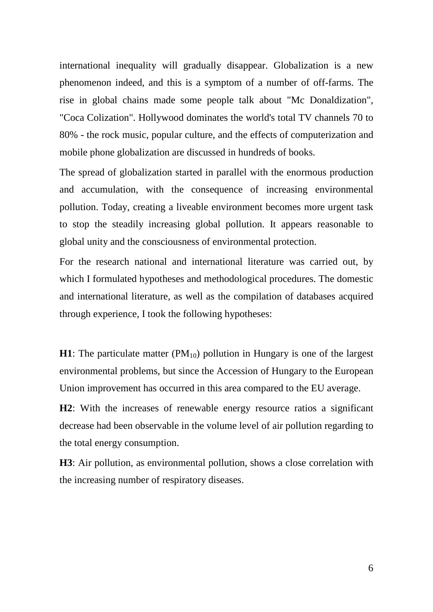international inequality will gradually disappear. Globalization is a new phenomenon indeed, and this is a symptom of a number of off-farms. The rise in global chains made some people talk about "Mc Donaldization", "Coca Colization". Hollywood dominates the world's total TV channels 70 to 80% - the rock music, popular culture, and the effects of computerization and mobile phone globalization are discussed in hundreds of books.

The spread of globalization started in parallel with the enormous production and accumulation, with the consequence of increasing environmental pollution. Today, creating a liveable environment becomes more urgent task to stop the steadily increasing global pollution. It appears reasonable to global unity and the consciousness of environmental protection.

For the research national and international literature was carried out, by which I formulated hypotheses and methodological procedures. The domestic and international literature, as well as the compilation of databases acquired through experience, I took the following hypotheses:

**H1**: The particulate matter  $(PM_{10})$  pollution in Hungary is one of the largest environmental problems, but since the Accession of Hungary to the European Union improvement has occurred in this area compared to the EU average.

**H2**: With the increases of renewable energy resource ratios a significant decrease had been observable in the volume level of air pollution regarding to the total energy consumption.

**H3**: Air pollution, as environmental pollution, shows a close correlation with the increasing number of respiratory diseases.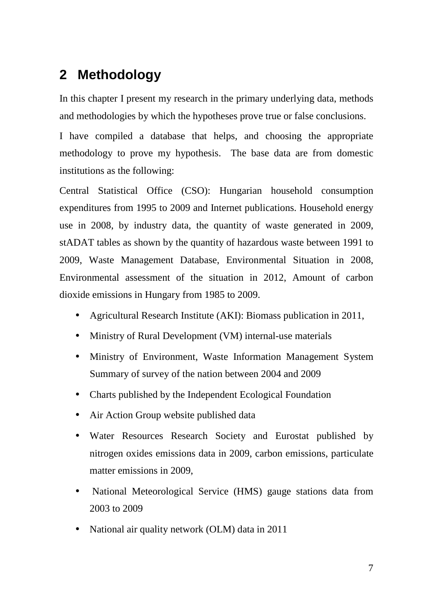## **2 Methodology**

In this chapter I present my research in the primary underlying data, methods and methodologies by which the hypotheses prove true or false conclusions.

I have compiled a database that helps, and choosing the appropriate methodology to prove my hypothesis. The base data are from domestic institutions as the following:

Central Statistical Office (CSO): Hungarian household consumption expenditures from 1995 to 2009 and Internet publications. Household energy use in 2008, by industry data, the quantity of waste generated in 2009, stADAT tables as shown by the quantity of hazardous waste between 1991 to 2009, Waste Management Database, Environmental Situation in 2008, Environmental assessment of the situation in 2012, Amount of carbon dioxide emissions in Hungary from 1985 to 2009.

- Agricultural Research Institute (AKI): Biomass publication in 2011,
- Ministry of Rural Development (VM) internal-use materials
- Ministry of Environment, Waste Information Management System Summary of survey of the nation between 2004 and 2009
- Charts published by the Independent Ecological Foundation
- Air Action Group website published data
- Water Resources Research Society and Eurostat published by nitrogen oxides emissions data in 2009, carbon emissions, particulate matter emissions in 2009,
- National Meteorological Service (HMS) gauge stations data from 2003 to 2009
- National air quality network (OLM) data in 2011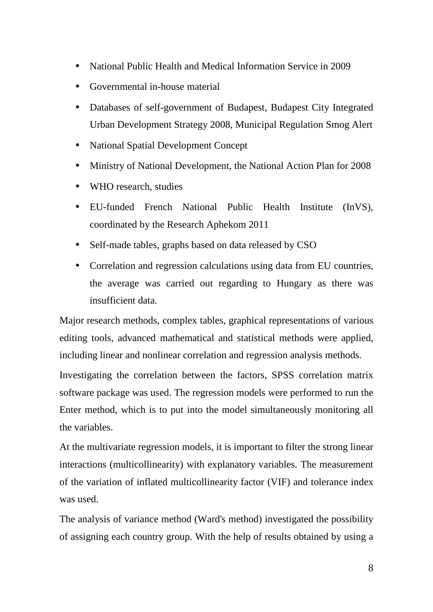- National Public Health and Medical Information Service in 2009
- Governmental in-house material
- Databases of self-government of Budapest, Budapest City Integrated Urban Development Strategy 2008, Municipal Regulation Smog Alert
- National Spatial Development Concept
- Ministry of National Development, the National Action Plan for 2008
- WHO research, studies
- EU-funded French National Public Health Institute (InVS), coordinated by the Research Aphekom 2011
- Self-made tables, graphs based on data released by CSO
- Correlation and regression calculations using data from EU countries, the average was carried out regarding to Hungary as there was insufficient data.

Major research methods, complex tables, graphical representations of various editing tools, advanced mathematical and statistical methods were applied, including linear and nonlinear correlation and regression analysis methods.

Investigating the correlation between the factors, SPSS correlation matrix software package was used. The regression models were performed to run the Enter method, which is to put into the model simultaneously monitoring all the variables.

At the multivariate regression models, it is important to filter the strong linear interactions (multicollinearity) with explanatory variables. The measurement of the variation of inflated multicollinearity factor (VIF) and tolerance index was used.

The analysis of variance method (Ward's method) investigated the possibility of assigning each country group. With the help of results obtained by using a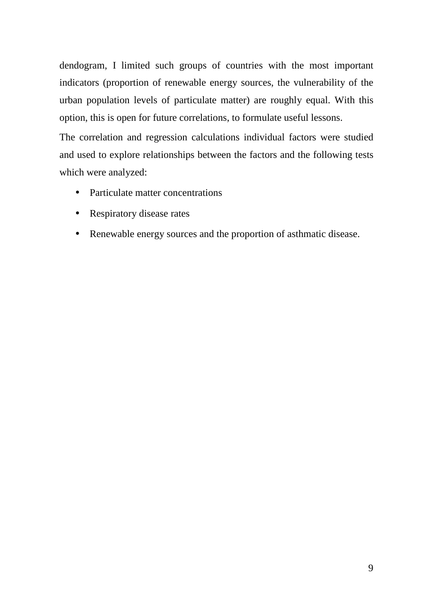dendogram, I limited such groups of countries with the most important indicators (proportion of renewable energy sources, the vulnerability of the urban population levels of particulate matter) are roughly equal. With this option, this is open for future correlations, to formulate useful lessons.

The correlation and regression calculations individual factors were studied and used to explore relationships between the factors and the following tests which were analyzed:

- Particulate matter concentrations
- Respiratory disease rates
- Renewable energy sources and the proportion of asthmatic disease.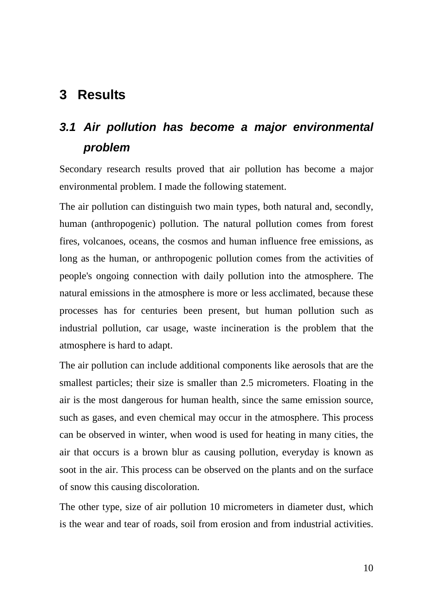## **3 Results**

## **3.1 Air pollution has become a major environmental problem**

Secondary research results proved that air pollution has become a major environmental problem. I made the following statement.

The air pollution can distinguish two main types, both natural and, secondly, human (anthropogenic) pollution. The natural pollution comes from forest fires, volcanoes, oceans, the cosmos and human influence free emissions, as long as the human, or anthropogenic pollution comes from the activities of people's ongoing connection with daily pollution into the atmosphere. The natural emissions in the atmosphere is more or less acclimated, because these processes has for centuries been present, but human pollution such as industrial pollution, car usage, waste incineration is the problem that the atmosphere is hard to adapt.

The air pollution can include additional components like aerosols that are the smallest particles; their size is smaller than 2.5 micrometers. Floating in the air is the most dangerous for human health, since the same emission source, such as gases, and even chemical may occur in the atmosphere. This process can be observed in winter, when wood is used for heating in many cities, the air that occurs is a brown blur as causing pollution, everyday is known as soot in the air. This process can be observed on the plants and on the surface of snow this causing discoloration.

The other type, size of air pollution 10 micrometers in diameter dust, which is the wear and tear of roads, soil from erosion and from industrial activities.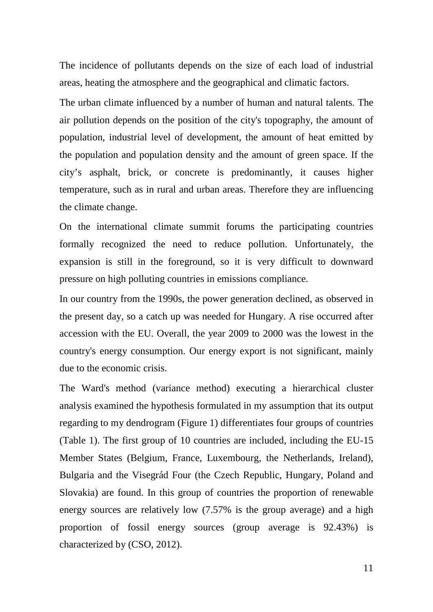The incidence of pollutants depends on the size of each load of industrial areas, heating the atmosphere and the geographical and climatic factors.

The urban climate influenced by a number of human and natural talents. The air pollution depends on the position of the city's topography, the amount of population, industrial level of development, the amount of heat emitted by the population and population density and the amount of green space. If the city's asphalt, brick, or concrete is predominantly, it causes higher temperature, such as in rural and urban areas. Therefore they are influencing the climate change.

On the international climate summit forums the participating countries formally recognized the need to reduce pollution. Unfortunately, the expansion is still in the foreground, so it is very difficult to downward pressure on high polluting countries in emissions compliance.

In our country from the 1990s, the power generation declined, as observed in the present day, so a catch up was needed for Hungary. A rise occurred after accession with the EU. Overall, the year 2009 to 2000 was the lowest in the country's energy consumption. Our energy export is not significant, mainly due to the economic crisis.

The Ward's method (variance method) executing a hierarchical cluster analysis examined the hypothesis formulated in my assumption that its output regarding to my dendrogram (Figure 1) differentiates four groups of countries (Table 1). The first group of 10 countries are included, including the EU-15 Member States (Belgium, France, Luxembourg, the Netherlands, Ireland), Bulgaria and the Visegrád Four (the Czech Republic, Hungary, Poland and Slovakia) are found. In this group of countries the proportion of renewable energy sources are relatively low (7.57% is the group average) and a high proportion of fossil energy sources (group average is 92.43%) is characterized by (CSO, 2012).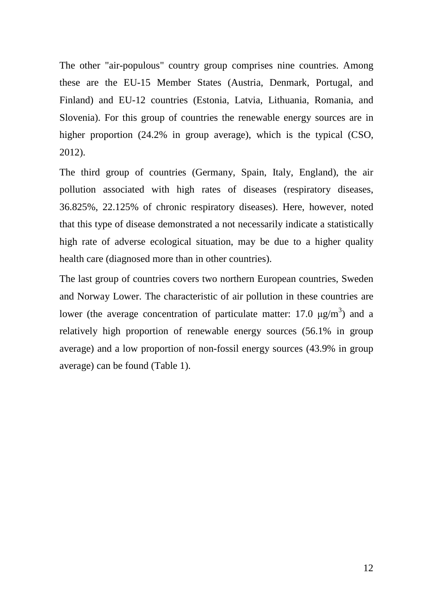The other "air-populous" country group comprises nine countries. Among these are the EU-15 Member States (Austria, Denmark, Portugal, and Finland) and EU-12 countries (Estonia, Latvia, Lithuania, Romania, and Slovenia). For this group of countries the renewable energy sources are in higher proportion  $(24.2\%$  in group average), which is the typical (CSO, 2012).

The third group of countries (Germany, Spain, Italy, England), the air pollution associated with high rates of diseases (respiratory diseases, 36.825%, 22.125% of chronic respiratory diseases). Here, however, noted that this type of disease demonstrated a not necessarily indicate a statistically high rate of adverse ecological situation, may be due to a higher quality health care (diagnosed more than in other countries).

The last group of countries covers two northern European countries, Sweden and Norway Lower. The characteristic of air pollution in these countries are lower (the average concentration of particulate matter: 17.0  $\mu$ g/m<sup>3</sup>) and a relatively high proportion of renewable energy sources (56.1% in group average) and a low proportion of non-fossil energy sources (43.9% in group average) can be found (Table 1).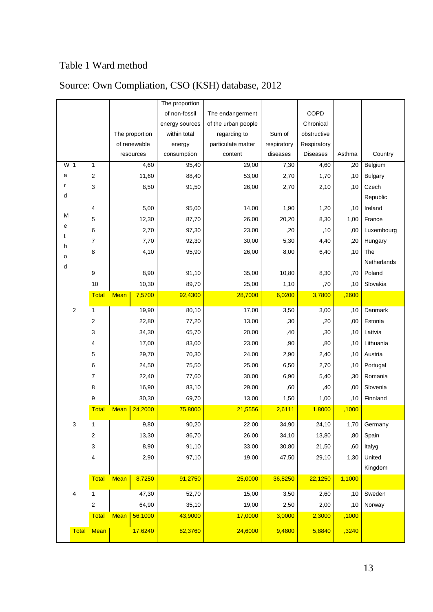### Table 1 Ward method

|        |                  |                |             | The proportion |                     |                    |             |                 |        |                |
|--------|------------------|----------------|-------------|----------------|---------------------|--------------------|-------------|-----------------|--------|----------------|
|        |                  |                |             | of non-fossil  | The endangerment    |                    | COPD        |                 |        |                |
|        |                  |                |             | energy sources | of the urban people |                    | Chronical   |                 |        |                |
|        |                  |                |             | The proportion | within total        | regarding to       | Sum of      | obstructive     |        |                |
|        |                  |                |             | of renewable   | energy              | particulate matter | respiratory | Respiratory     |        |                |
|        |                  |                |             | resources      | consumption         | content            | diseases    | <b>Diseases</b> | Asthma | Country        |
|        | W 1              | 1              |             | 4,60           | 95,40               | 29,00              | 7,30        | 4,60            | ,20    | Belgium        |
| a      |                  | $\overline{2}$ |             | 11,60          | 88,40               | 53,00              | 2,70        | 1,70            | ,10    | <b>Bulgary</b> |
| r      |                  | 3              |             | 8,50           | 91,50               | 26,00              | 2,70        | 2,10            | , 10   | Czech          |
| d      |                  |                |             |                |                     |                    |             |                 |        | Republic       |
|        |                  | 4              |             | 5,00           | 95,00               | 14,00              | 1,90        | 1,20            | ,10    | Ireland        |
| М      |                  | 5              |             | 12,30          | 87,70               | 26,00              | 20,20       | 8,30            | 1,00   | France         |
| e      |                  | 6              |             | 2,70           | 97,30               | 23,00              | ,20         | ,10             | ,00    | Luxembourg     |
| t      |                  | $\overline{7}$ |             | 7,70           | 92,30               | 30,00              | 5,30        | 4,40            | ,20    | Hungary        |
| h      |                  | 8              |             | 4,10           | 95,90               | 26,00              | 8,00        | 6,40            | ,10    | The            |
| o<br>d |                  |                |             |                |                     |                    |             |                 |        | Netherlands    |
|        |                  | 9              |             | 8,90           | 91,10               | 35,00              | 10,80       | 8,30            | ,70    | Poland         |
|        |                  | 10             |             | 10,30          | 89,70               | 25,00              | 1,10        | ,70             | ,10    | Slovakia       |
|        |                  | <b>Total</b>   | <b>Mean</b> | 7,5700         | 92,4300             | 28,7000            | 6,0200      | 3,7800          | ,2600  |                |
|        | $\boldsymbol{2}$ | 1              |             | 19,90          | 80,10               | 17,00              | 3,50        | 3,00            | ,10    | Danmark        |
|        |                  | 2              |             | 22,80          | 77,20               | 13,00              | ,30         | ,20             | ,00    | Estonia        |
|        |                  | 3              |             | 34,30          | 65,70               | 20,00              | ,40         | ,30             | ,10    | Lattvia        |
|        |                  | 4              |             | 17,00          | 83,00               | 23,00              | ,90         | ,80             | ,10    | Lithuania      |
|        |                  | 5              |             | 29,70          | 70,30               | 24,00              | 2,90        | 2,40            | ,10    | Austria        |
|        |                  | 6              |             | 24,50          | 75,50               | 25,00              | 6,50        | 2,70            | ,10    | Portugal       |
|        |                  | $\overline{7}$ |             | 22,40          | 77,60               | 30,00              | 6,90        | 5,40            | ,30    | Romania        |
|        |                  | 8              |             | 16,90          | 83,10               | 29,00              | ,60         | ,40             | ,00    | Slovenia       |
|        |                  | 9              |             | 30,30          | 69,70               | 13,00              | 1,50        | 1,00            | ,10    | Finnland       |
|        |                  | <b>Total</b>   | <b>Mean</b> | 24,2000        | 75,8000             | 21,5556            | 2,6111      | 1,8000          | ,1000  |                |
|        | 3                | 1              |             | 9,80           | 90,20               | 22,00              | 34,90       | 24,10           | 1,70   | Germany        |
|        |                  | 2              |             | 13,30          | 86,70               | 26,00              | 34,10       | 13,80           | ,80    | Spain          |
|        |                  | 3              |             | 8,90           | 91,10               | 33,00              | 30,80       | 21,50           | ,60    | Italyg         |
|        |                  | 4              |             | 2,90           | 97,10               | 19,00              | 47,50       | 29,10           | 1,30   | United         |
|        |                  |                |             |                |                     |                    |             |                 |        | Kingdom        |
|        |                  | Total          | <b>Mean</b> | 8,7250         | <u>91,2750</u>      | <u>25,0000</u>     | 36,8250     | <u>22,1250</u>  | 1,1000 |                |
|        |                  |                |             |                |                     |                    |             |                 |        |                |
|        | 4                | 1              |             | 47,30          | 52,70               | 15,00              | 3,50        | 2,60            | ,10    | Sweden         |
|        |                  | 2              |             | 64,90          | 35,10               | 19,00              | 2,50        | 2,00            | ,10    | Norway         |
|        |                  | <b>Total</b>   | <b>Mean</b> | 56,1000        | 43,9000             | 17,0000            | 3,0000      | 2,3000          | ,1000  |                |
|        | <b>Total</b>     | <b>Mean</b>    |             | 17,6240        | 82,3760             | 24,6000            | 9,4800      | 5,8840          | ,3240  |                |
|        |                  |                |             |                |                     |                    |             |                 |        |                |

### Source: Own Compliation, CSO (KSH) database, 2012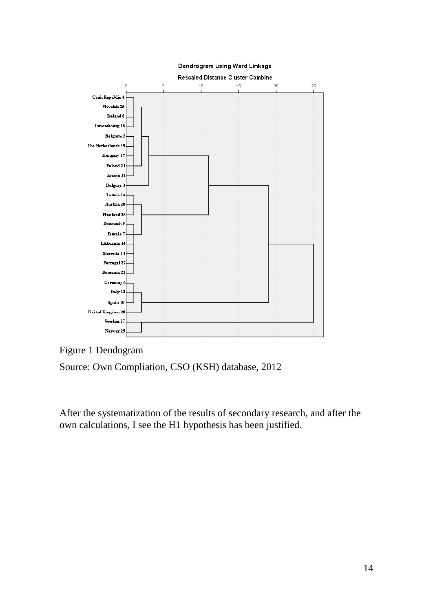

### Figure 1 Dendogram

Source: Own Compliation, CSO (KSH) database, 2012

After the systematization of the results of secondary research, and after the own calculations, I see the H1 hypothesis has been justified.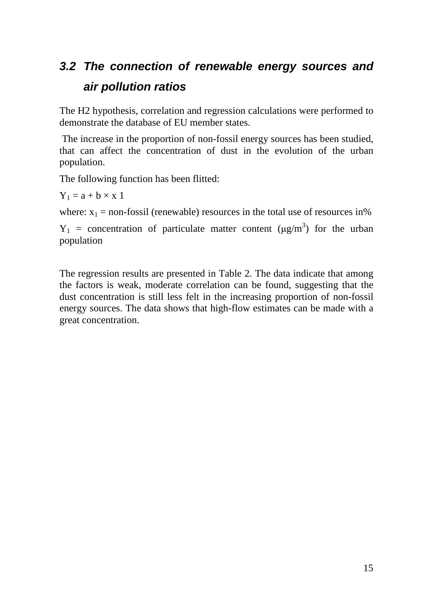## **3.2 The connection of renewable energy sources and air pollution ratios**

The H2 hypothesis, correlation and regression calculations were performed to demonstrate the database of EU member states.

 The increase in the proportion of non-fossil energy sources has been studied, that can affect the concentration of dust in the evolution of the urban population.

The following function has been flitted:

 $Y_1 = a + b \times x 1$ 

where:  $x_1$  = non-fossil (renewable) resources in the total use of resources in%

 $Y_1$  = concentration of particulate matter content ( $\mu g/m^3$ ) for the urban population

The regression results are presented in Table 2. The data indicate that among the factors is weak, moderate correlation can be found, suggesting that the dust concentration is still less felt in the increasing proportion of non-fossil energy sources. The data shows that high-flow estimates can be made with a great concentration.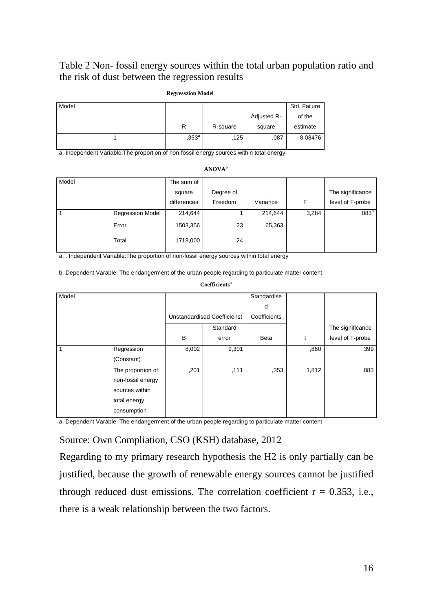### Table 2 Non- fossil energy sources within the total urban population ratio and the risk of dust between the regression results

|       | .              |          |             |              |
|-------|----------------|----------|-------------|--------------|
| Model |                |          |             | Std. Failure |
|       |                |          | Adjusted R- | of the       |
|       | R              | R-square | square      | estimate     |
|       | $,353^{\circ}$ | ,125     | ,087        | 8,08476      |
|       |                |          |             |              |

**Regresszion Model** 

a. Independent Variable:The proportion of non-fossil energy sources within total energy

| Model |                         | The sum of  |           |          |       |                  |
|-------|-------------------------|-------------|-----------|----------|-------|------------------|
|       |                         | square      | Degree of |          |       | The significance |
|       |                         | differences | Freedom   | Variance | F     | level of F-probe |
|       | <b>Regression Model</b> | 214,644     |           | 214,644  | 3,284 | $,083^a$         |
|       | Error                   | 1503,356    | 23        | 65,363   |       |                  |
|       | Total                   | 1718,000    | 24        |          |       |                  |

a. . Independent Variable:The proportion of non-fossil energy sources within total energy

b. Dependent Varable: The endangerment of the urban people regarding to particulate matter content

|       |                   |       | ------------                       |              |       |                  |
|-------|-------------------|-------|------------------------------------|--------------|-------|------------------|
| Model |                   |       |                                    | Standardise  |       |                  |
|       |                   |       |                                    | d            |       |                  |
|       |                   |       | <b>Unstandardised Coefficienst</b> | Coefficients |       |                  |
|       |                   |       | Standard                           |              |       | The significance |
|       |                   | B     | error                              | Beta         | t     | level of F-probe |
| 1     | Regression        | 8,002 | 9,301                              |              | ,860  | ,399             |
|       | (Constant)        |       |                                    |              |       |                  |
|       | The proportion of | ,201  | ,111                               | ,353         | 1,812 | ,083             |
|       | non-fossil energy |       |                                    |              |       |                  |
|       | sources within    |       |                                    |              |       |                  |
|       | total energy      |       |                                    |              |       |                  |
|       | consumption       |       |                                    |              |       |                  |

**Coefficients<sup>a</sup>**

a. Dependent Varable: The endangerment of the urban people regarding to particulate matter content

Source: Own Compliation, CSO (KSH) database, 2012

Regarding to my primary research hypothesis the H2 is only partially can be justified, because the growth of renewable energy sources cannot be justified through reduced dust emissions. The correlation coefficient  $r = 0.353$ , i.e., there is a weak relationship between the two factors.

**ANOVA<sup>b</sup>**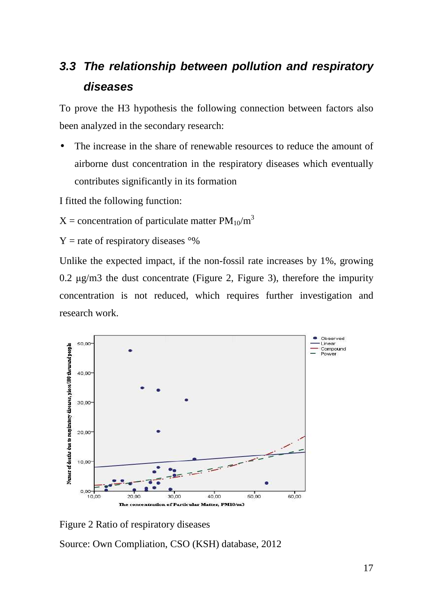## **3.3 The relationship between pollution and respiratory diseases**

To prove the H3 hypothesis the following connection between factors also been analyzed in the secondary research:

The increase in the share of renewable resources to reduce the amount of airborne dust concentration in the respiratory diseases which eventually contributes significantly in its formation

I fitted the following function:

 $X =$  concentration of particulate matter  $PM_{10}/m^3$ 

 $Y =$ rate of respiratory diseases  $\degree\%$ 

Unlike the expected impact, if the non-fossil rate increases by 1%, growing 0.2 µg/m3 the dust concentrate (Figure 2, Figure 3), therefore the impurity concentration is not reduced, which requires further investigation and research work.



Figure 2 Ratio of respiratory diseases

Source: Own Compliation, CSO (KSH) database, 2012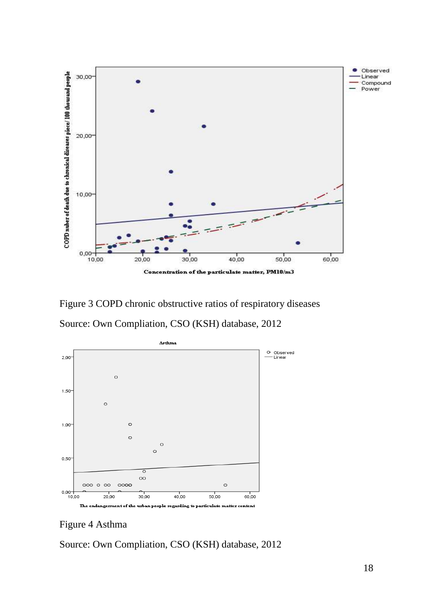

Figure 3 COPD chronic obstructive ratios of respiratory diseases

Source: Own Compliation, CSO (KSH) database, 2012



Figure 4 Asthma

Source: Own Compliation, CSO (KSH) database, 2012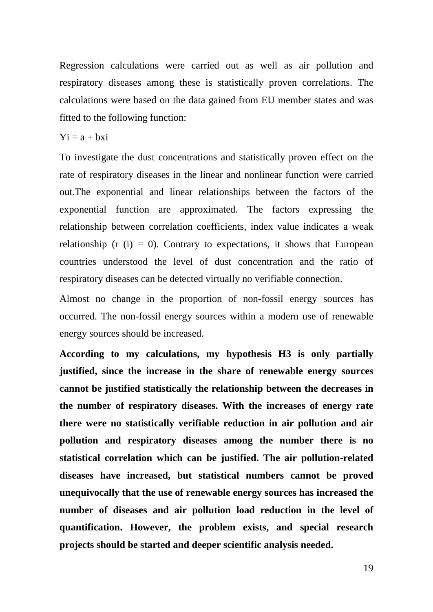Regression calculations were carried out as well as air pollution and respiratory diseases among these is statistically proven correlations. The calculations were based on the data gained from EU member states and was fitted to the following function:

#### $Y_i = a + bxi$

To investigate the dust concentrations and statistically proven effect on the rate of respiratory diseases in the linear and nonlinear function were carried out.The exponential and linear relationships between the factors of the exponential function are approximated. The factors expressing the relationship between correlation coefficients, index value indicates a weak relationship ( $r$  (i) = 0). Contrary to expectations, it shows that European countries understood the level of dust concentration and the ratio of respiratory diseases can be detected virtually no verifiable connection.

Almost no change in the proportion of non-fossil energy sources has occurred. The non-fossil energy sources within a modern use of renewable energy sources should be increased.

**According to my calculations, my hypothesis H3 is only partially justified, since the increase in the share of renewable energy sources cannot be justified statistically the relationship between the decreases in the number of respiratory diseases. With the increases of energy rate there were no statistically verifiable reduction in air pollution and air pollution and respiratory diseases among the number there is no statistical correlation which can be justified. The air pollution-related diseases have increased, but statistical numbers cannot be proved unequivocally that the use of renewable energy sources has increased the number of diseases and air pollution load reduction in the level of quantification. However, the problem exists, and special research projects should be started and deeper scientific analysis needed.**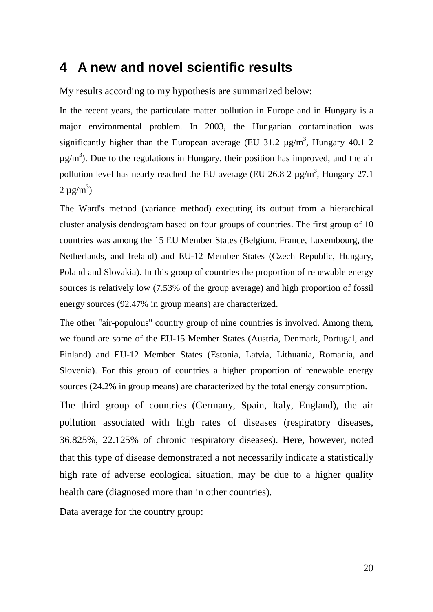### **4 A new and novel scientific results**

My results according to my hypothesis are summarized below:

In the recent years, the particulate matter pollution in Europe and in Hungary is a major environmental problem. In 2003, the Hungarian contamination was significantly higher than the European average (EU 31.2  $\mu$ g/m<sup>3</sup>, Hungary 40.1 2  $\mu$ g/m<sup>3</sup>). Due to the regulations in Hungary, their position has improved, and the air pollution level has nearly reached the EU average (EU 26.8 2  $\mu$ g/m<sup>3</sup>, Hungary 27.1  $2 \mu g/m^3$ )

The Ward's method (variance method) executing its output from a hierarchical cluster analysis dendrogram based on four groups of countries. The first group of 10 countries was among the 15 EU Member States (Belgium, France, Luxembourg, the Netherlands, and Ireland) and EU-12 Member States (Czech Republic, Hungary, Poland and Slovakia). In this group of countries the proportion of renewable energy sources is relatively low (7.53% of the group average) and high proportion of fossil energy sources (92.47% in group means) are characterized.

The other "air-populous" country group of nine countries is involved. Among them, we found are some of the EU-15 Member States (Austria, Denmark, Portugal, and Finland) and EU-12 Member States (Estonia, Latvia, Lithuania, Romania, and Slovenia). For this group of countries a higher proportion of renewable energy sources (24.2% in group means) are characterized by the total energy consumption.

The third group of countries (Germany, Spain, Italy, England), the air pollution associated with high rates of diseases (respiratory diseases, 36.825%, 22.125% of chronic respiratory diseases). Here, however, noted that this type of disease demonstrated a not necessarily indicate a statistically high rate of adverse ecological situation, may be due to a higher quality health care (diagnosed more than in other countries).

Data average for the country group: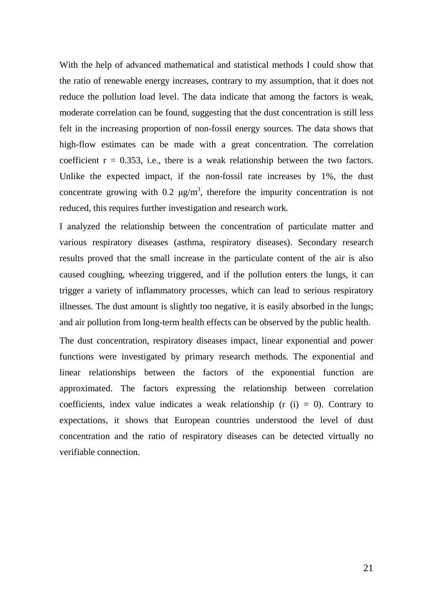With the help of advanced mathematical and statistical methods I could show that the ratio of renewable energy increases, contrary to my assumption, that it does not reduce the pollution load level. The data indicate that among the factors is weak, moderate correlation can be found, suggesting that the dust concentration is still less felt in the increasing proportion of non-fossil energy sources. The data shows that high-flow estimates can be made with a great concentration. The correlation coefficient  $r = 0.353$ , i.e., there is a weak relationship between the two factors. Unlike the expected impact, if the non-fossil rate increases by 1%, the dust concentrate growing with 0.2  $\mu$ g/m<sup>3</sup>, therefore the impurity concentration is not reduced, this requires further investigation and research work.

I analyzed the relationship between the concentration of particulate matter and various respiratory diseases (asthma, respiratory diseases). Secondary research results proved that the small increase in the particulate content of the air is also caused coughing, wheezing triggered, and if the pollution enters the lungs, it can trigger a variety of inflammatory processes, which can lead to serious respiratory illnesses. The dust amount is slightly too negative, it is easily absorbed in the lungs; and air pollution from long-term health effects can be observed by the public health.

The dust concentration, respiratory diseases impact, linear exponential and power functions were investigated by primary research methods. The exponential and linear relationships between the factors of the exponential function are approximated. The factors expressing the relationship between correlation coefficients, index value indicates a weak relationship ( $r$  (i) = 0). Contrary to expectations, it shows that European countries understood the level of dust concentration and the ratio of respiratory diseases can be detected virtually no verifiable connection.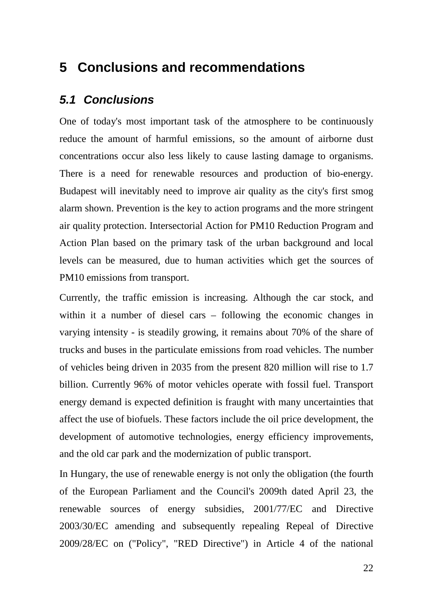### **5 Conclusions and recommendations**

### **5.1 Conclusions**

One of today's most important task of the atmosphere to be continuously reduce the amount of harmful emissions, so the amount of airborne dust concentrations occur also less likely to cause lasting damage to organisms. There is a need for renewable resources and production of bio-energy. Budapest will inevitably need to improve air quality as the city's first smog alarm shown. Prevention is the key to action programs and the more stringent air quality protection. Intersectorial Action for PM10 Reduction Program and Action Plan based on the primary task of the urban background and local levels can be measured, due to human activities which get the sources of PM10 emissions from transport.

Currently, the traffic emission is increasing. Although the car stock, and within it a number of diesel cars – following the economic changes in varying intensity - is steadily growing, it remains about 70% of the share of trucks and buses in the particulate emissions from road vehicles. The number of vehicles being driven in 2035 from the present 820 million will rise to 1.7 billion. Currently 96% of motor vehicles operate with fossil fuel. Transport energy demand is expected definition is fraught with many uncertainties that affect the use of biofuels. These factors include the oil price development, the development of automotive technologies, energy efficiency improvements, and the old car park and the modernization of public transport.

In Hungary, the use of renewable energy is not only the obligation (the fourth of the European Parliament and the Council's 2009th dated April 23, the renewable sources of energy subsidies, 2001/77/EC and Directive 2003/30/EC amending and subsequently repealing Repeal of Directive 2009/28/EC on ("Policy", "RED Directive") in Article 4 of the national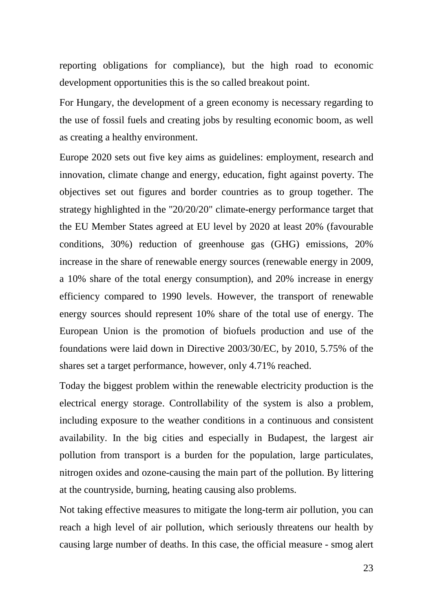reporting obligations for compliance), but the high road to economic development opportunities this is the so called breakout point.

For Hungary, the development of a green economy is necessary regarding to the use of fossil fuels and creating jobs by resulting economic boom, as well as creating a healthy environment.

Europe 2020 sets out five key aims as guidelines: employment, research and innovation, climate change and energy, education, fight against poverty. The objectives set out figures and border countries as to group together. The strategy highlighted in the "20/20/20" climate-energy performance target that the EU Member States agreed at EU level by 2020 at least 20% (favourable conditions, 30%) reduction of greenhouse gas (GHG) emissions, 20% increase in the share of renewable energy sources (renewable energy in 2009, a 10% share of the total energy consumption), and 20% increase in energy efficiency compared to 1990 levels. However, the transport of renewable energy sources should represent 10% share of the total use of energy. The European Union is the promotion of biofuels production and use of the foundations were laid down in Directive 2003/30/EC, by 2010, 5.75% of the shares set a target performance, however, only 4.71% reached.

Today the biggest problem within the renewable electricity production is the electrical energy storage. Controllability of the system is also a problem, including exposure to the weather conditions in a continuous and consistent availability. In the big cities and especially in Budapest, the largest air pollution from transport is a burden for the population, large particulates, nitrogen oxides and ozone-causing the main part of the pollution. By littering at the countryside, burning, heating causing also problems.

Not taking effective measures to mitigate the long-term air pollution, you can reach a high level of air pollution, which seriously threatens our health by causing large number of deaths. In this case, the official measure - smog alert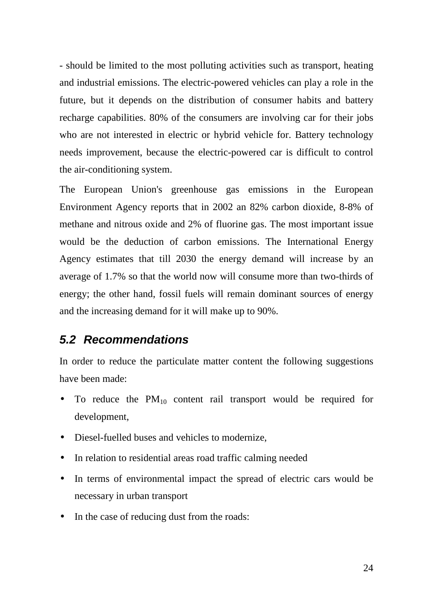- should be limited to the most polluting activities such as transport, heating and industrial emissions. The electric-powered vehicles can play a role in the future, but it depends on the distribution of consumer habits and battery recharge capabilities. 80% of the consumers are involving car for their jobs who are not interested in electric or hybrid vehicle for. Battery technology needs improvement, because the electric-powered car is difficult to control the air-conditioning system.

The European Union's greenhouse gas emissions in the European Environment Agency reports that in 2002 an 82% carbon dioxide, 8-8% of methane and nitrous oxide and 2% of fluorine gas. The most important issue would be the deduction of carbon emissions. The International Energy Agency estimates that till 2030 the energy demand will increase by an average of 1.7% so that the world now will consume more than two-thirds of energy; the other hand, fossil fuels will remain dominant sources of energy and the increasing demand for it will make up to 90%.

### **5.2 Recommendations**

In order to reduce the particulate matter content the following suggestions have been made:

- To reduce the  $PM_{10}$  content rail transport would be required for development,
- Diesel-fuelled buses and vehicles to modernize,
- In relation to residential areas road traffic calming needed
- In terms of environmental impact the spread of electric cars would be necessary in urban transport
- In the case of reducing dust from the roads: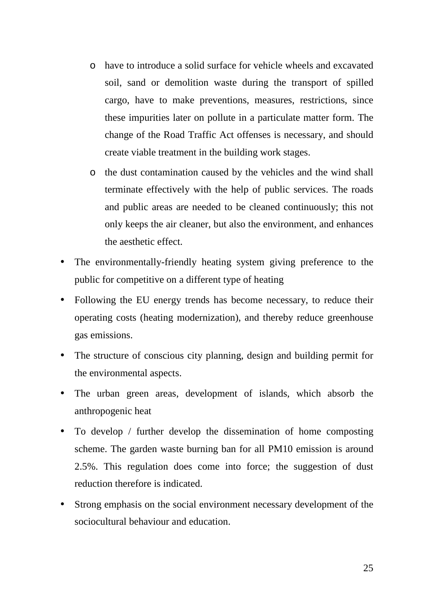- o have to introduce a solid surface for vehicle wheels and excavated soil, sand or demolition waste during the transport of spilled cargo, have to make preventions, measures, restrictions, since these impurities later on pollute in a particulate matter form. The change of the Road Traffic Act offenses is necessary, and should create viable treatment in the building work stages.
- o the dust contamination caused by the vehicles and the wind shall terminate effectively with the help of public services. The roads and public areas are needed to be cleaned continuously; this not only keeps the air cleaner, but also the environment, and enhances the aesthetic effect.
- The environmentally-friendly heating system giving preference to the public for competitive on a different type of heating
- Following the EU energy trends has become necessary, to reduce their operating costs (heating modernization), and thereby reduce greenhouse gas emissions.
- The structure of conscious city planning, design and building permit for the environmental aspects.
- The urban green areas, development of islands, which absorb the anthropogenic heat
- To develop / further develop the dissemination of home composting scheme. The garden waste burning ban for all PM10 emission is around 2.5%. This regulation does come into force; the suggestion of dust reduction therefore is indicated.
- Strong emphasis on the social environment necessary development of the sociocultural behaviour and education.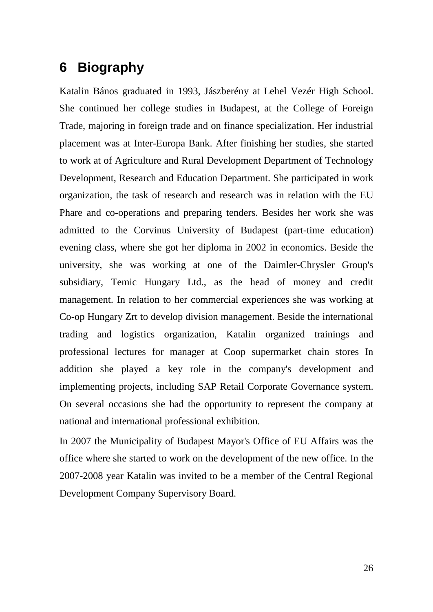## **6 Biography**

Katalin Bános graduated in 1993, Jászberény at Lehel Vezér High School. She continued her college studies in Budapest, at the College of Foreign Trade, majoring in foreign trade and on finance specialization. Her industrial placement was at Inter-Europa Bank. After finishing her studies, she started to work at of Agriculture and Rural Development Department of Technology Development, Research and Education Department. She participated in work organization, the task of research and research was in relation with the EU Phare and co-operations and preparing tenders. Besides her work she was admitted to the Corvinus University of Budapest (part-time education) evening class, where she got her diploma in 2002 in economics. Beside the university, she was working at one of the Daimler-Chrysler Group's subsidiary, Temic Hungary Ltd., as the head of money and credit management. In relation to her commercial experiences she was working at Co-op Hungary Zrt to develop division management. Beside the international trading and logistics organization, Katalin organized trainings and professional lectures for manager at Coop supermarket chain stores In addition she played a key role in the company's development and implementing projects, including SAP Retail Corporate Governance system. On several occasions she had the opportunity to represent the company at national and international professional exhibition.

In 2007 the Municipality of Budapest Mayor's Office of EU Affairs was the office where she started to work on the development of the new office. In the 2007-2008 year Katalin was invited to be a member of the Central Regional Development Company Supervisory Board.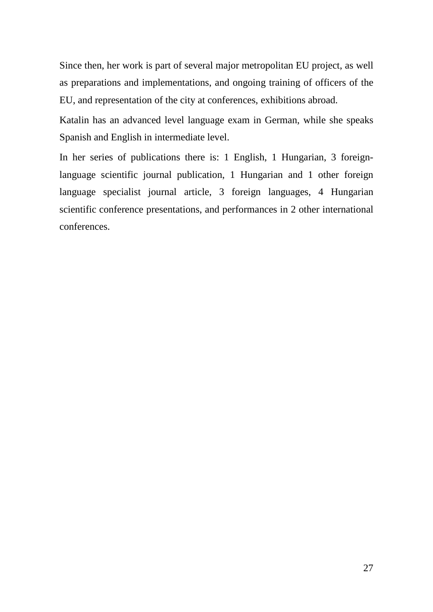Since then, her work is part of several major metropolitan EU project, as well as preparations and implementations, and ongoing training of officers of the EU, and representation of the city at conferences, exhibitions abroad.

Katalin has an advanced level language exam in German, while she speaks Spanish and English in intermediate level.

In her series of publications there is: 1 English, 1 Hungarian, 3 foreignlanguage scientific journal publication, 1 Hungarian and 1 other foreign language specialist journal article, 3 foreign languages, 4 Hungarian scientific conference presentations, and performances in 2 other international conferences.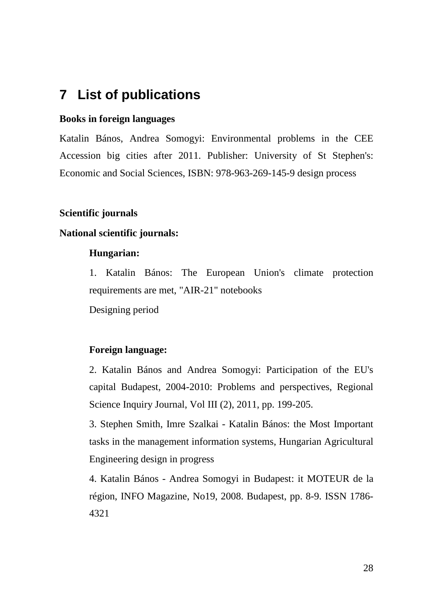## **7 List of publications**

#### **Books in foreign languages**

Katalin Bános, Andrea Somogyi: Environmental problems in the CEE Accession big cities after 2011. Publisher: University of St Stephen's: Economic and Social Sciences, ISBN: 978-963-269-145-9 design process

#### **Scientific journals**

#### **National scientific journals:**

#### **Hungarian:**

1. Katalin Bános: The European Union's climate protection requirements are met, "AIR-21" notebooks

Designing period

#### **Foreign language:**

2. Katalin Bános and Andrea Somogyi: Participation of the EU's capital Budapest, 2004-2010: Problems and perspectives, Regional Science Inquiry Journal, Vol III (2), 2011, pp. 199-205.

3. Stephen Smith, Imre Szalkai - Katalin Bános: the Most Important tasks in the management information systems, Hungarian Agricultural Engineering design in progress

4. Katalin Bános - Andrea Somogyi in Budapest: it MOTEUR de la région, INFO Magazine, No19, 2008. Budapest, pp. 8-9. ISSN 1786- 4321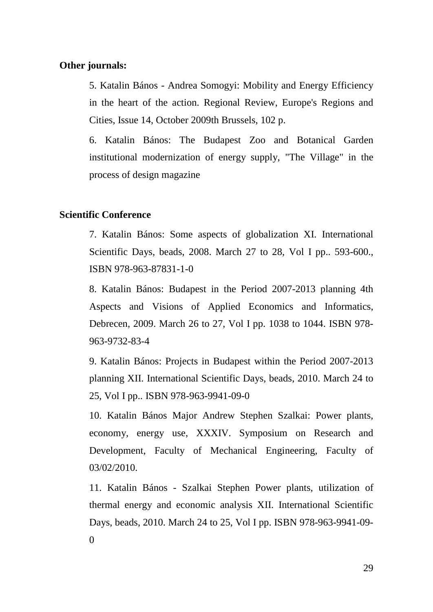#### **Other journals:**

5. Katalin Bános - Andrea Somogyi: Mobility and Energy Efficiency in the heart of the action. Regional Review, Europe's Regions and Cities, Issue 14, October 2009th Brussels, 102 p.

6. Katalin Bános: The Budapest Zoo and Botanical Garden institutional modernization of energy supply, "The Village" in the process of design magazine

#### **Scientific Conference**

7. Katalin Bános: Some aspects of globalization XI. International Scientific Days, beads, 2008. March 27 to 28, Vol I pp.. 593-600., ISBN 978-963-87831-1-0

8. Katalin Bános: Budapest in the Period 2007-2013 planning 4th Aspects and Visions of Applied Economics and Informatics, Debrecen, 2009. March 26 to 27, Vol I pp. 1038 to 1044. ISBN 978- 963-9732-83-4

9. Katalin Bános: Projects in Budapest within the Period 2007-2013 planning XII. International Scientific Days, beads, 2010. March 24 to 25, Vol I pp.. ISBN 978-963-9941-09-0

10. Katalin Bános Major Andrew Stephen Szalkai: Power plants, economy, energy use, XXXIV. Symposium on Research and Development, Faculty of Mechanical Engineering, Faculty of 03/02/2010.

11. Katalin Bános - Szalkai Stephen Power plants, utilization of thermal energy and economic analysis XII. International Scientific Days, beads, 2010. March 24 to 25, Vol I pp. ISBN 978-963-9941-09- 0